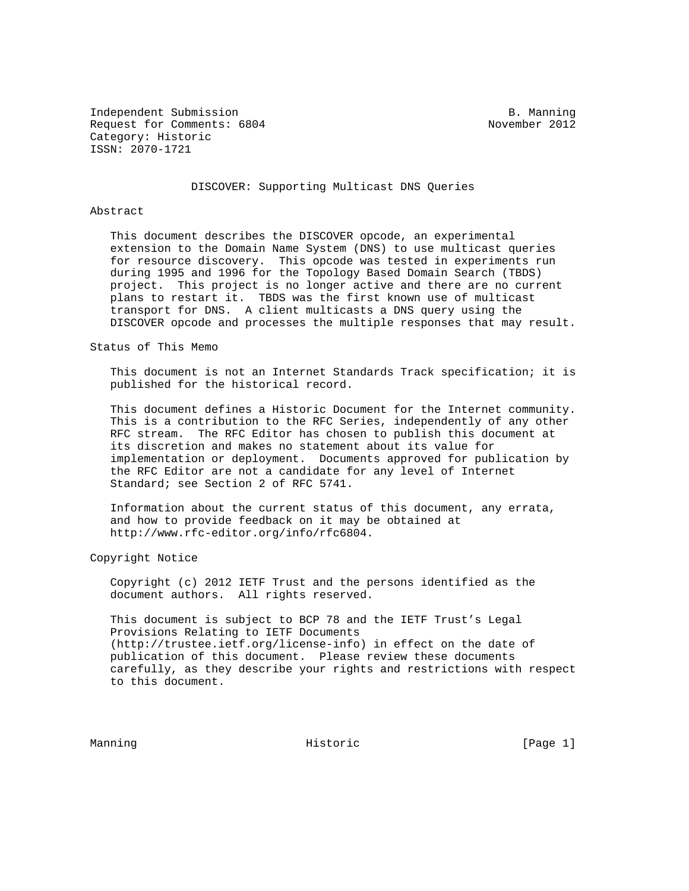Independent Submission **B. Manning** Request for Comments: 6804 November 2012 Category: Historic ISSN: 2070-1721

DISCOVER: Supporting Multicast DNS Queries

### Abstract

 This document describes the DISCOVER opcode, an experimental extension to the Domain Name System (DNS) to use multicast queries for resource discovery. This opcode was tested in experiments run during 1995 and 1996 for the Topology Based Domain Search (TBDS) project. This project is no longer active and there are no current plans to restart it. TBDS was the first known use of multicast transport for DNS. A client multicasts a DNS query using the DISCOVER opcode and processes the multiple responses that may result.

Status of This Memo

 This document is not an Internet Standards Track specification; it is published for the historical record.

 This document defines a Historic Document for the Internet community. This is a contribution to the RFC Series, independently of any other RFC stream. The RFC Editor has chosen to publish this document at its discretion and makes no statement about its value for implementation or deployment. Documents approved for publication by the RFC Editor are not a candidate for any level of Internet Standard; see Section 2 of RFC 5741.

 Information about the current status of this document, any errata, and how to provide feedback on it may be obtained at http://www.rfc-editor.org/info/rfc6804.

Copyright Notice

 Copyright (c) 2012 IETF Trust and the persons identified as the document authors. All rights reserved.

 This document is subject to BCP 78 and the IETF Trust's Legal Provisions Relating to IETF Documents (http://trustee.ietf.org/license-info) in effect on the date of publication of this document. Please review these documents carefully, as they describe your rights and restrictions with respect to this document.

Manning **Historic** Historic **Example 1** (Page 1)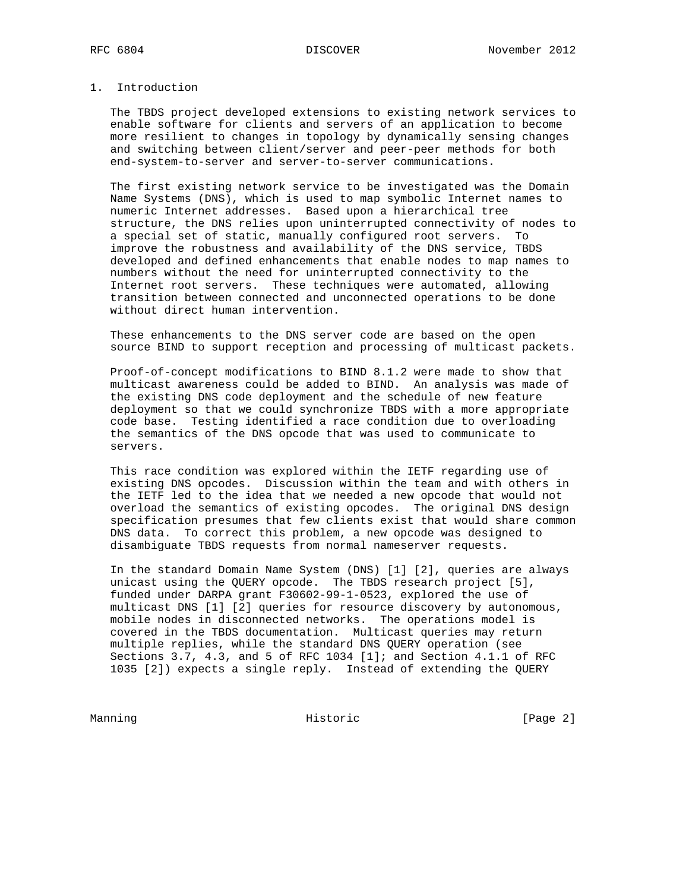## 1. Introduction

 The TBDS project developed extensions to existing network services to enable software for clients and servers of an application to become more resilient to changes in topology by dynamically sensing changes and switching between client/server and peer-peer methods for both end-system-to-server and server-to-server communications.

 The first existing network service to be investigated was the Domain Name Systems (DNS), which is used to map symbolic Internet names to numeric Internet addresses. Based upon a hierarchical tree structure, the DNS relies upon uninterrupted connectivity of nodes to a special set of static, manually configured root servers. To improve the robustness and availability of the DNS service, TBDS developed and defined enhancements that enable nodes to map names to numbers without the need for uninterrupted connectivity to the Internet root servers. These techniques were automated, allowing transition between connected and unconnected operations to be done without direct human intervention.

 These enhancements to the DNS server code are based on the open source BIND to support reception and processing of multicast packets.

 Proof-of-concept modifications to BIND 8.1.2 were made to show that multicast awareness could be added to BIND. An analysis was made of the existing DNS code deployment and the schedule of new feature deployment so that we could synchronize TBDS with a more appropriate code base. Testing identified a race condition due to overloading the semantics of the DNS opcode that was used to communicate to servers.

 This race condition was explored within the IETF regarding use of existing DNS opcodes. Discussion within the team and with others in the IETF led to the idea that we needed a new opcode that would not overload the semantics of existing opcodes. The original DNS design specification presumes that few clients exist that would share common DNS data. To correct this problem, a new opcode was designed to disambiguate TBDS requests from normal nameserver requests.

 In the standard Domain Name System (DNS) [1] [2], queries are always unicast using the QUERY opcode. The TBDS research project [5], funded under DARPA grant F30602-99-1-0523, explored the use of multicast DNS [1] [2] queries for resource discovery by autonomous, mobile nodes in disconnected networks. The operations model is covered in the TBDS documentation. Multicast queries may return multiple replies, while the standard DNS QUERY operation (see Sections 3.7, 4.3, and 5 of RFC 1034 [1]; and Section 4.1.1 of RFC 1035 [2]) expects a single reply. Instead of extending the QUERY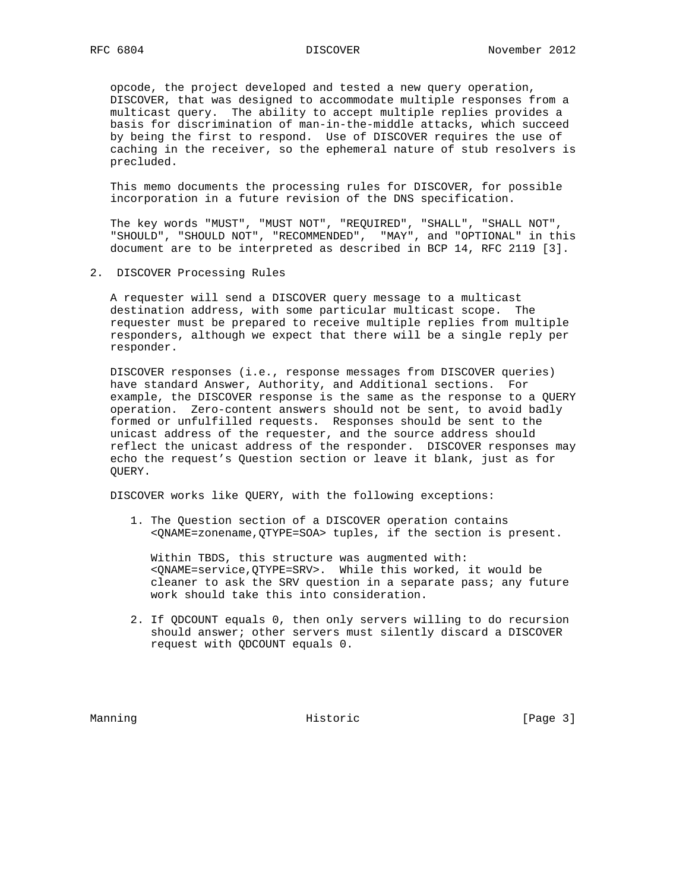opcode, the project developed and tested a new query operation, DISCOVER, that was designed to accommodate multiple responses from a multicast query. The ability to accept multiple replies provides a basis for discrimination of man-in-the-middle attacks, which succeed by being the first to respond. Use of DISCOVER requires the use of caching in the receiver, so the ephemeral nature of stub resolvers is precluded.

 This memo documents the processing rules for DISCOVER, for possible incorporation in a future revision of the DNS specification.

 The key words "MUST", "MUST NOT", "REQUIRED", "SHALL", "SHALL NOT", "SHOULD", "SHOULD NOT", "RECOMMENDED", "MAY", and "OPTIONAL" in this document are to be interpreted as described in BCP 14, RFC 2119 [3].

2. DISCOVER Processing Rules

 A requester will send a DISCOVER query message to a multicast destination address, with some particular multicast scope. The requester must be prepared to receive multiple replies from multiple responders, although we expect that there will be a single reply per responder.

 DISCOVER responses (i.e., response messages from DISCOVER queries) have standard Answer, Authority, and Additional sections. For example, the DISCOVER response is the same as the response to a QUERY operation. Zero-content answers should not be sent, to avoid badly formed or unfulfilled requests. Responses should be sent to the unicast address of the requester, and the source address should reflect the unicast address of the responder. DISCOVER responses may echo the request's Question section or leave it blank, just as for QUERY.

DISCOVER works like QUERY, with the following exceptions:

 1. The Question section of a DISCOVER operation contains <QNAME=zonename,QTYPE=SOA> tuples, if the section is present.

 Within TBDS, this structure was augmented with: <QNAME=service,QTYPE=SRV>. While this worked, it would be cleaner to ask the SRV question in a separate pass; any future work should take this into consideration.

 2. If QDCOUNT equals 0, then only servers willing to do recursion should answer; other servers must silently discard a DISCOVER request with QDCOUNT equals 0.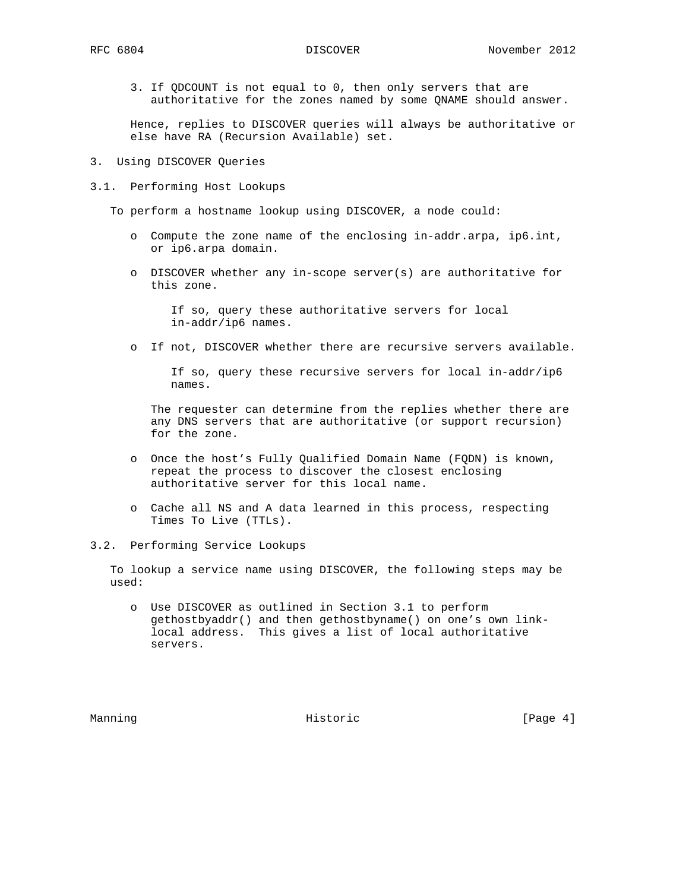3. If QDCOUNT is not equal to 0, then only servers that are authoritative for the zones named by some QNAME should answer.

 Hence, replies to DISCOVER queries will always be authoritative or else have RA (Recursion Available) set.

- 3. Using DISCOVER Queries
- 3.1. Performing Host Lookups

To perform a hostname lookup using DISCOVER, a node could:

- o Compute the zone name of the enclosing in-addr.arpa, ip6.int, or ip6.arpa domain.
- o DISCOVER whether any in-scope server(s) are authoritative for this zone.

 If so, query these authoritative servers for local in-addr/ip6 names.

o If not, DISCOVER whether there are recursive servers available.

 If so, query these recursive servers for local in-addr/ip6 names.

 The requester can determine from the replies whether there are any DNS servers that are authoritative (or support recursion) for the zone.

- o Once the host's Fully Qualified Domain Name (FQDN) is known, repeat the process to discover the closest enclosing authoritative server for this local name.
- o Cache all NS and A data learned in this process, respecting Times To Live (TTLs).
- 3.2. Performing Service Lookups

 To lookup a service name using DISCOVER, the following steps may be used:

 o Use DISCOVER as outlined in Section 3.1 to perform gethostbyaddr() and then gethostbyname() on one's own link local address. This gives a list of local authoritative servers.

Manning **Historic** Historic **Example 1** (Page 4)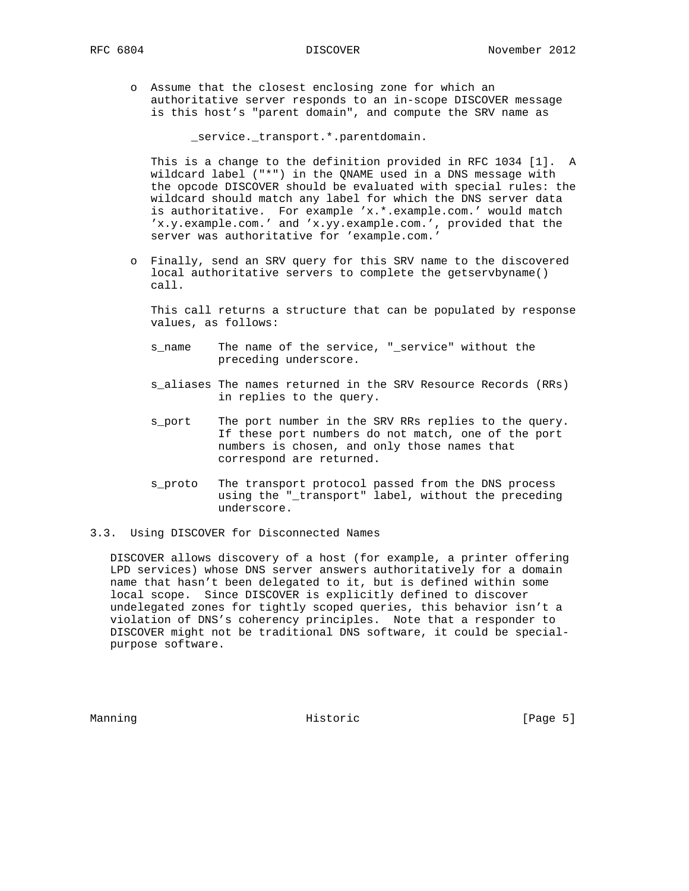- - o Assume that the closest enclosing zone for which an authoritative server responds to an in-scope DISCOVER message is this host's "parent domain", and compute the SRV name as

\_service.\_transport.\*.parentdomain.

 This is a change to the definition provided in RFC 1034 [1]. A wildcard label ("\*") in the QNAME used in a DNS message with the opcode DISCOVER should be evaluated with special rules: the wildcard should match any label for which the DNS server data is authoritative. For example 'x.\*.example.com.' would match 'x.y.example.com.' and 'x.yy.example.com.', provided that the server was authoritative for 'example.com.'

 o Finally, send an SRV query for this SRV name to the discovered local authoritative servers to complete the getservbyname() call.

 This call returns a structure that can be populated by response values, as follows:

- s\_name The name of the service, "\_service" without the preceding underscore.
- s\_aliases The names returned in the SRV Resource Records (RRs) in replies to the query.
- s\_port The port number in the SRV RRs replies to the query. If these port numbers do not match, one of the port numbers is chosen, and only those names that correspond are returned.
- s\_proto The transport protocol passed from the DNS process using the "\_transport" label, without the preceding underscore.
- 3.3. Using DISCOVER for Disconnected Names

 DISCOVER allows discovery of a host (for example, a printer offering LPD services) whose DNS server answers authoritatively for a domain name that hasn't been delegated to it, but is defined within some local scope. Since DISCOVER is explicitly defined to discover undelegated zones for tightly scoped queries, this behavior isn't a violation of DNS's coherency principles. Note that a responder to DISCOVER might not be traditional DNS software, it could be special purpose software.

Manning **Historic** Historic **Example 19** (Page 5)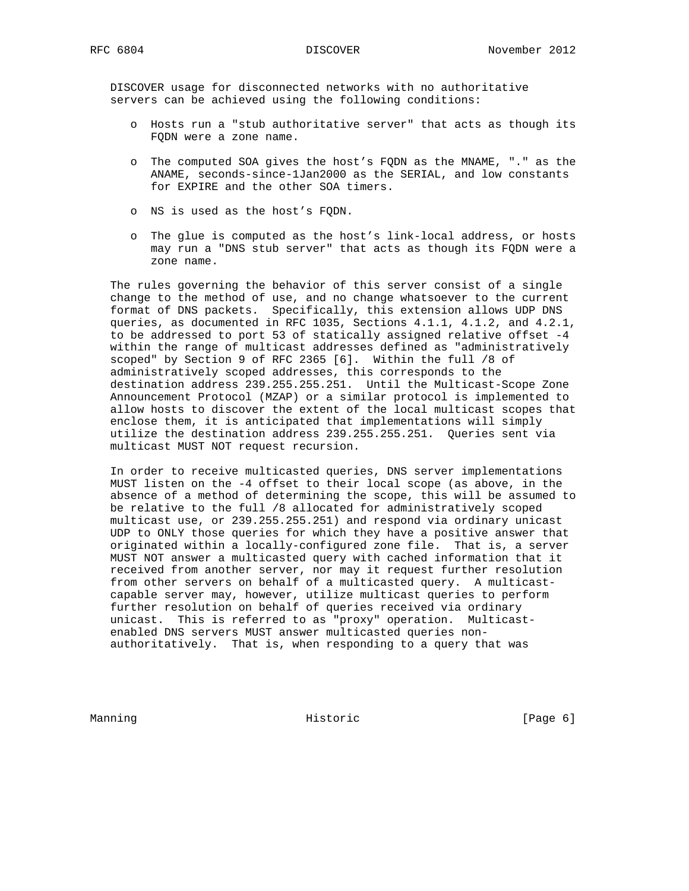DISCOVER usage for disconnected networks with no authoritative servers can be achieved using the following conditions:

- o Hosts run a "stub authoritative server" that acts as though its FQDN were a zone name.
- o The computed SOA gives the host's FQDN as the MNAME, "." as the ANAME, seconds-since-1Jan2000 as the SERIAL, and low constants for EXPIRE and the other SOA timers.
- o NS is used as the host's FQDN.
- o The glue is computed as the host's link-local address, or hosts may run a "DNS stub server" that acts as though its FQDN were a zone name.

 The rules governing the behavior of this server consist of a single change to the method of use, and no change whatsoever to the current format of DNS packets. Specifically, this extension allows UDP DNS queries, as documented in RFC 1035, Sections 4.1.1, 4.1.2, and 4.2.1, to be addressed to port 53 of statically assigned relative offset -4 within the range of multicast addresses defined as "administratively scoped" by Section 9 of RFC 2365 [6]. Within the full /8 of administratively scoped addresses, this corresponds to the destination address 239.255.255.251. Until the Multicast-Scope Zone Announcement Protocol (MZAP) or a similar protocol is implemented to allow hosts to discover the extent of the local multicast scopes that enclose them, it is anticipated that implementations will simply utilize the destination address 239.255.255.251. Queries sent via multicast MUST NOT request recursion.

 In order to receive multicasted queries, DNS server implementations MUST listen on the -4 offset to their local scope (as above, in the absence of a method of determining the scope, this will be assumed to be relative to the full /8 allocated for administratively scoped multicast use, or 239.255.255.251) and respond via ordinary unicast UDP to ONLY those queries for which they have a positive answer that originated within a locally-configured zone file. That is, a server MUST NOT answer a multicasted query with cached information that it received from another server, nor may it request further resolution from other servers on behalf of a multicasted query. A multicast capable server may, however, utilize multicast queries to perform further resolution on behalf of queries received via ordinary unicast. This is referred to as "proxy" operation. Multicast enabled DNS servers MUST answer multicasted queries non authoritatively. That is, when responding to a query that was

Manning **Historic** Historic **Example 19** (Page 6)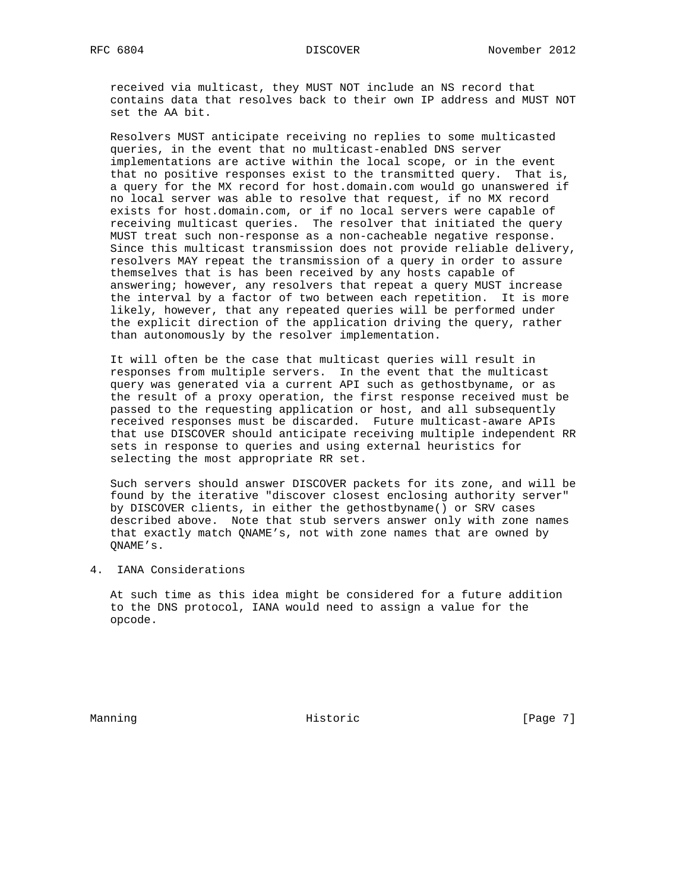received via multicast, they MUST NOT include an NS record that contains data that resolves back to their own IP address and MUST NOT set the AA bit.

 Resolvers MUST anticipate receiving no replies to some multicasted queries, in the event that no multicast-enabled DNS server implementations are active within the local scope, or in the event that no positive responses exist to the transmitted query. That is, a query for the MX record for host.domain.com would go unanswered if no local server was able to resolve that request, if no MX record exists for host.domain.com, or if no local servers were capable of receiving multicast queries. The resolver that initiated the query MUST treat such non-response as a non-cacheable negative response. Since this multicast transmission does not provide reliable delivery, resolvers MAY repeat the transmission of a query in order to assure themselves that is has been received by any hosts capable of answering; however, any resolvers that repeat a query MUST increase the interval by a factor of two between each repetition. It is more likely, however, that any repeated queries will be performed under the explicit direction of the application driving the query, rather than autonomously by the resolver implementation.

 It will often be the case that multicast queries will result in responses from multiple servers. In the event that the multicast query was generated via a current API such as gethostbyname, or as the result of a proxy operation, the first response received must be passed to the requesting application or host, and all subsequently received responses must be discarded. Future multicast-aware APIs that use DISCOVER should anticipate receiving multiple independent RR sets in response to queries and using external heuristics for selecting the most appropriate RR set.

 Such servers should answer DISCOVER packets for its zone, and will be found by the iterative "discover closest enclosing authority server" by DISCOVER clients, in either the gethostbyname() or SRV cases described above. Note that stub servers answer only with zone names that exactly match QNAME's, not with zone names that are owned by QNAME's.

4. IANA Considerations

 At such time as this idea might be considered for a future addition to the DNS protocol, IANA would need to assign a value for the opcode.

Manning **Historic** Historic **Example 1** (Page 7)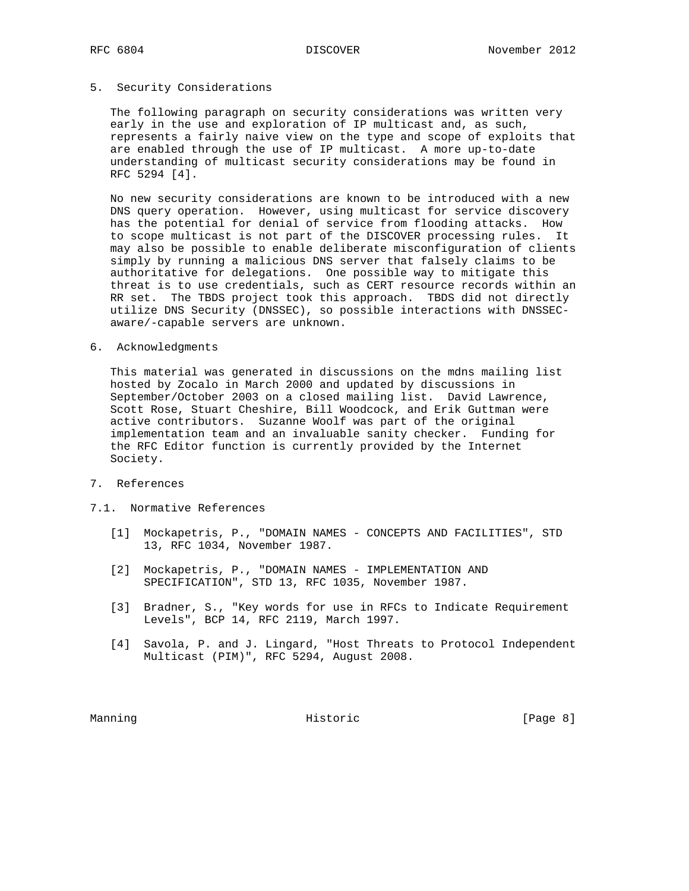### 5. Security Considerations

 The following paragraph on security considerations was written very early in the use and exploration of IP multicast and, as such, represents a fairly naive view on the type and scope of exploits that are enabled through the use of IP multicast. A more up-to-date understanding of multicast security considerations may be found in RFC 5294 [4].

 No new security considerations are known to be introduced with a new DNS query operation. However, using multicast for service discovery has the potential for denial of service from flooding attacks. How to scope multicast is not part of the DISCOVER processing rules. It may also be possible to enable deliberate misconfiguration of clients simply by running a malicious DNS server that falsely claims to be authoritative for delegations. One possible way to mitigate this threat is to use credentials, such as CERT resource records within an RR set. The TBDS project took this approach. TBDS did not directly utilize DNS Security (DNSSEC), so possible interactions with DNSSEC aware/-capable servers are unknown.

6. Acknowledgments

 This material was generated in discussions on the mdns mailing list hosted by Zocalo in March 2000 and updated by discussions in September/October 2003 on a closed mailing list. David Lawrence, Scott Rose, Stuart Cheshire, Bill Woodcock, and Erik Guttman were active contributors. Suzanne Woolf was part of the original implementation team and an invaluable sanity checker. Funding for the RFC Editor function is currently provided by the Internet Society.

- 7. References
- 7.1. Normative References
	- [1] Mockapetris, P., "DOMAIN NAMES CONCEPTS AND FACILITIES", STD 13, RFC 1034, November 1987.
	- [2] Mockapetris, P., "DOMAIN NAMES IMPLEMENTATION AND SPECIFICATION", STD 13, RFC 1035, November 1987.
	- [3] Bradner, S., "Key words for use in RFCs to Indicate Requirement Levels", BCP 14, RFC 2119, March 1997.
	- [4] Savola, P. and J. Lingard, "Host Threats to Protocol Independent Multicast (PIM)", RFC 5294, August 2008.